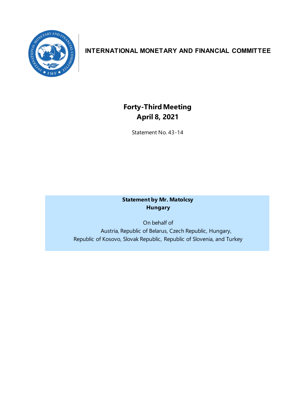

# **INTERNATIONAL MONETARY AND FINANCIAL COMMITTEE**

# **Forty-ThirdMeeting April 8, 2021**

Statement No. 43-14

# **Statement by Mr. Matolcsy Hungary**

On behalf of Austria, Republic of Belarus, Czech Republic, Hungary, Republic of Kosovo, Slovak Republic, Republic of Slovenia, and Turkey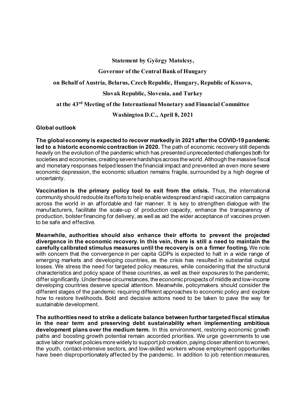**Statement by György Matolcsy,**

#### **Governor of the Central Bank of Hungary**

#### **on Behalf of Austria, Belarus, Czech Republic, Hungary, Republic of Kosovo,**

#### **Slovak Republic, Slovenia, and Turkey**

## **at the 43rd Meeting of the International Monetary and Financial Committee**

#### **Washington D.C., April 8, 2021**

#### **Global outlook**

**The global economy is expected to recover markedly in 2021 after the COVID-19 pandemic led to a historic economic contraction in 2020.** The path of economic recovery still depends heavily on the evolution of the pandemic which has presented unprecedented challenges both for societies and economies, creating severe hardships across the world. Although the massive fiscal and monetary responses helped lessen the financial impact and prevented an even more severe economic depression, the economic situation remains fragile, surrounded by a high degree of uncertainty.

**Vaccination is the primary policy tool to exit from the crisis.** Thus, the international community should redouble its efforts to help enable widespread and rapid vaccination campaigns across the world in an affordable and fair manner. It is key to strengthen dialogue with the manufacturers, facilitate the scale-up of production capacity, enhance the transparency of production, bolster financing for delivery, as well as aid the wider acceptance of vaccines proven to be safe and effective.

**Meanwhile, authorities should also enhance their efforts to prevent the projected divergence in the economic recovery. In this vein, there is still a need to maintain the carefully calibrated stimulus measures until the recovery is on a firmer footing.** We note with concern that the convergence in per capita GDPs is expected to halt in a wide range of emerging markets and developing countries, as the crisis has resulted in substantial output losses. We stress the need for targeted policy measures, while considering that the structural characteristics and policy space of these countries, as well as their exposures to the pandemic, differ significantly. Under these circumstances, the economic prospects of middle and low-income developing countries deserve special attention. Meanwhile, policymakers should consider the different stages of the pandemic requiring different approaches to economic policy and explore how to restore livelihoods. Bold and decisive actions need to be taken to pave the way for sustainable development.

**The authorities need to strike a delicate balance between further targeted fiscal stimulus in the near term and preserving debt sustainability when implementing ambitious development plans over the medium term.** In this environment, restoring economic growth paths and boosting growth potential remain accorded priorities. We urge governments to use active labor market policies more widely to support job creation, paying closer attention to women, the youth, contact-intensive sectors, and low-skilled workers whose employment opportunities have been disproportionately affected by the pandemic. In addition to job retention measures,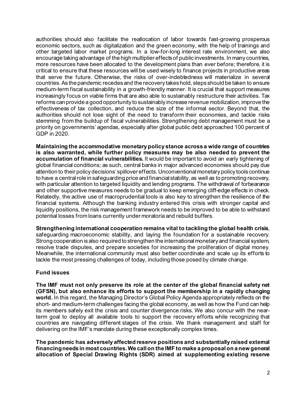authorities should also facilitate the reallocation of labor towards fast-growing prosperous economic sectors, such as digitalization and the green economy, with the help of trainings and other targeted labor market programs. In a low-for-long interest rate environment, we also encourage taking advantage of the high multiplier effects of public investments. In many countries, more resources have been allocated to the development plans than ever before; therefore, it is critical to ensure that these resources will be used wisely to finance projects in productive areas that serve the future. Otherwise, the risks of over-indebtedness will materialize in several countries. As the pandemic recedes and the recovery takes hold, steps should be taken to ensure medium-term fiscal sustainability in a growth-friendly manner. It is crucial that support measures increasingly focus on viable firms that are also able to sustainably restructure their activities. Tax reforms can provide a good opportunity to sustainably increase revenue mobilization, improve the effectiveness of tax collection, and reduce the size of the informal sector. Beyond that, the authorities should not lose sight of the need to transform their economies, and tackle risks stemming from the buildup of fiscal vulnerabilities. Strengthening debt management must be a priority on governments' agendas, especially after global public debt approached 100 percent of GDP in 2020.

**Maintaining the accommodative monetary policy stance across a wide range of countries is also warranted, while further policy measures may be also needed to prevent the accumulation of financial vulnerabilities.** It would be important to avoid an early tightening of global financial conditions; as such, central banks in major advanced economies should pay due attention to their policy decisions' spillover effects. Unconventional monetary policy tools continue to have a central role in safeguarding price and financial stability, as well as to promoting recovery, with particular attention to targeted liquidity and lending programs. The withdrawal of forbearance and other supportive measures needs to be gradual to keep emerging cliff-edge effects in check. Relatedly, the active use of macroprudential tools is also key to strengthen the resilience of the financial systems. Although the banking industry entered this crisis with stronger capital and liquidity positions, the risk management framework needs to be improved to be able to withstand potential losses from loans currently under moratoria and rebuild buffers.

**Strengthening international cooperation remains vital to tackling the global health crisis**, safeguarding macroeconomic stability, and laying the foundation for a sustainable recovery. Strong cooperation is also required to strengthen the international monetary and financial system, resolve trade disputes, and prepare societies for increasing the proliferation of digital money. Meanwhile, the international community must also better coordinate and scale up its efforts to tackle the most pressing challenges of today, including those posed by climate change.

## **Fund issues**

**The IMF must not only preserve its role at the center of the global financial safety net (GFSN), but also enhance its efforts to support the membership in a rapidly changing world.** In this regard, the Managing Director's Global Policy Agenda appropriately reflects on the short- and medium-term challenges facing the global economy, as well as how the Fund can help its members safely exit the crisis and counter divergence risks. We also concur with the nearterm goal to deploy all available tools to support the recovery efforts while recognizing that countries are navigating different stages of the crisis. We thank management and staff for delivering on the IMF's mandate during these exceptionally complex times.

**The pandemic has adversely affected reserve positions and substantially raised external financing needs in most countries. We call on the IMF to make a proposal on a new general allocation of Special Drawing Rights (SDR) aimed at supplementing existing reserve**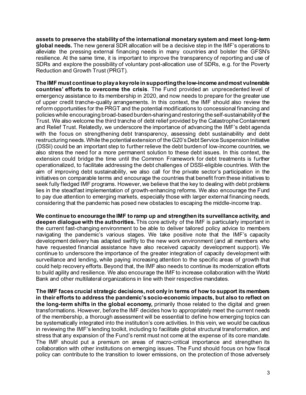**assets to preserve the stability of the international monetary system and meet long-term global needs.** The new general SDR allocation will be a decisive step in the IMF's operations to alleviate the pressing external financing needs in many countries and bolster the GFSN's resilience. At the same time, it is important to improve the transparency of reporting and use of SDRs and explore the possibility of voluntary post-allocation use of SDRs, e.g. for the Poverty Reduction and Growth Trust (PRGT).

**The IMF must continue to play a key role in supporting the low-income and most vulnerable countries' efforts to overcome the crisis**. The Fund provided an unprecedented level of emergency assistance to its membership in 2020, and now needs to prepare for the greater use of upper credit tranche-quality arrangements. In this context, the IMF should also review the reform opportunities for the PRGT and the potential modifications to concessional financing and policieswhile encouraging broad-based burden-sharingand restoring the self-sustainability of the Trust. We also welcome the third tranche of debt relief provided by the Catastrophe Containment and Relief Trust. Relatedly, we underscore the importance of advancing the IMF's debt agenda with the focus on strengthening debt transparency, assessing debt sustainability and debt restructuring needs.While the potentialextension of the G20's Debt Service Suspension Initiative (DSSI) could be an important step to further relieve the debt burden of low-income countries, we also stress the need for a more permanent solution to these debt issues. In this context, the extension could bridge the time until the Common Framework for debt treatments is further operationalized, to facilitate addressing the debt challenges of DSSI-eligible countries. With the aim of improving debt sustainability, we also call for the private sector's participation in the initiatives on comparable terms and encourage the countries that benefit from these initiatives to seek fully fledged IMF programs. However, we believe that the key to dealing with debt problems lies in the steadfast implementation of growth-enhancing reforms. We also encourage the Fund to pay due attention to emerging markets, especially those with larger external financing needs, considering that the pandemic has posed new obstacles to escaping the middle-income trap.

**We continue to encourage the IMF to ramp up and strengthen its surveillance activity, and deepen dialogue with the authorities.**This core activity of the IMF is particularly important in the current fast-changing environment to be able to deliver tailored policy advice to members navigating the pandemic's various stages. We take positive note that the IMF's capacity development delivery has adapted swiftly to the new work environment (and all members who have requested financial assistance have also received capacity development support). We continue to underscore the importance of the greater integration of capacity development with surveillance and lending, while paying increasing attention to the specific areas of growth that could help recovery efforts. Beyond that, the IMF also needs to continue its modernization efforts to build agility and resilience. We also encourage the IMF to increase collaboration with the World Bank and other multilateral organizations in line with their respective mandates.

**The IMF faces crucial strategic decisions, not only in terms of how to support its members in their efforts to address the pandemic's socio-economic impacts, but also to reflect on the long-term shifts in the global economy,** primarily those related to the digital and green transformations. However, before the IMF decides how to appropriately meet the current needs of the membership, a thorough assessment will be essential to define how emerging topics can be systematically integrated into the institution's core activities. In this vein, we would be cautious in reviewing the IMF's lending toolkit, including to facilitate global structural transformation, and stress that any expansion of the Fund's remit must not come at the expense of its core mandate. The IMF should put a premium on areas of macro-critical importance and strengthen its collaboration with other institutions on emerging issues. The Fund should focus on how fiscal policy can contribute to the transition to lower emissions, on the protection of those adversely